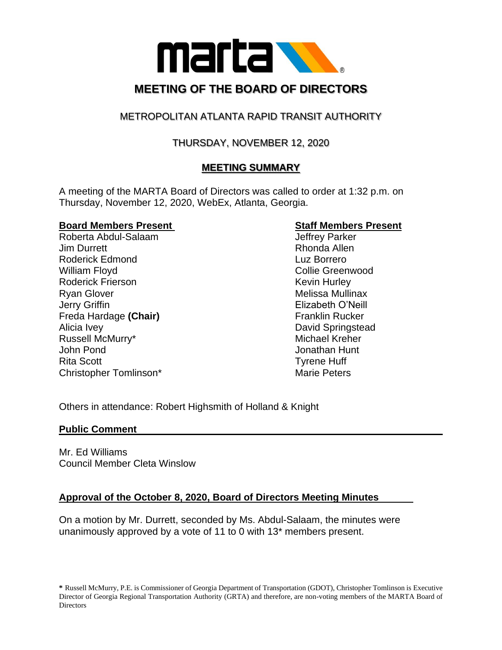

# METROPOLITAN ATLANTA RAPID TRANSIT AUTHORITY

# THURSDAY, NOVEMBER 12, 2020

# **MEETING SUMMARY**

A meeting of the MARTA Board of Directors was called to order at 1:32 p.m. on Thursday, November 12, 2020, WebEx, Atlanta, Georgia.

#### **Board Members Present Staff Members Present**

Roberta Abdul-Salaam Jeffrey Parker Jim Durrett **Rhonda** Allen Roderick Edmond **Luz Borrero** William Floyd **Collie Greenwood** Collie Greenwood Roderick Frierson **Kevin Hurley** Kevin Hurley Ryan Glover **Melissa Mullinax** Melissa Mullinax Jerry Griffin Elizabeth O'Neill Freda Hardage (Chair) **Franklin Rucker** Franklin Rucker Alicia Ivey David Springstead Russell McMurry\* The Communication of the Michael Kreher John Pond Jonathan Hunt Rita Scott **Tyrene Huff** Christopher Tomlinson\* Marie Peters

Others in attendance: Robert Highsmith of Holland & Knight

## **Public Comment**

Mr. Ed Williams Council Member Cleta Winslow

# **Approval of the October 8, 2020, Board of Directors Meeting Minutes**

On a motion by Mr. Durrett, seconded by Ms. Abdul-Salaam, the minutes were unanimously approved by a vote of 11 to 0 with 13\* members present.

**<sup>\*</sup>** Russell McMurry, P.E. is Commissioner of Georgia Department of Transportation (GDOT), Christopher Tomlinson is Executive Director of Georgia Regional Transportation Authority (GRTA) and therefore, are non-voting members of the MARTA Board of **Directors**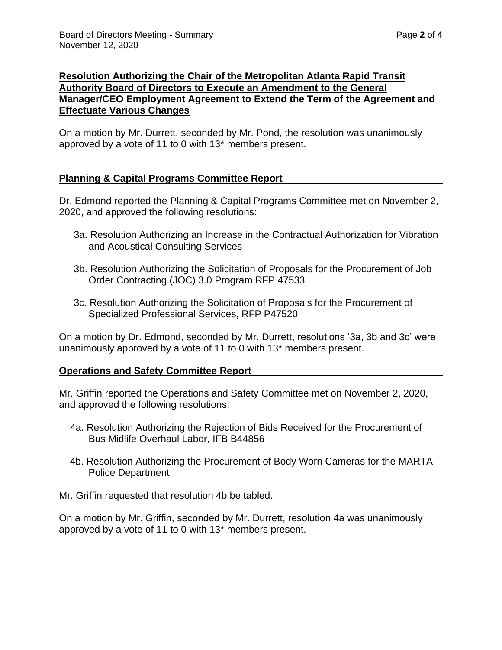## **Resolution Authorizing the Chair of the Metropolitan Atlanta Rapid Transit Authority Board of Directors to Execute an Amendment to the General Manager/CEO Employment Agreement to Extend the Term of the Agreement and Effectuate Various Changes**

On a motion by Mr. Durrett, seconded by Mr. Pond, the resolution was unanimously approved by a vote of 11 to 0 with 13\* members present.

## **Planning & Capital Programs Committee Report**

Dr. Edmond reported the Planning & Capital Programs Committee met on November 2, 2020, and approved the following resolutions:

- 3a. Resolution Authorizing an Increase in the Contractual Authorization for Vibration and Acoustical Consulting Services
- 3b. Resolution Authorizing the Solicitation of Proposals for the Procurement of Job Order Contracting (JOC) 3.0 Program RFP 47533
- 3c. Resolution Authorizing the Solicitation of Proposals for the Procurement of Specialized Professional Services, RFP P47520

On a motion by Dr. Edmond, seconded by Mr. Durrett, resolutions '3a, 3b and 3c' were unanimously approved by a vote of 11 to 0 with 13\* members present.

## **Operations and Safety Committee Report**

Mr. Griffin reported the Operations and Safety Committee met on November 2, 2020, and approved the following resolutions:

- 4a. Resolution Authorizing the Rejection of Bids Received for the Procurement of Bus Midlife Overhaul Labor, IFB B44856
- 4b. Resolution Authorizing the Procurement of Body Worn Cameras for the MARTA Police Department

Mr. Griffin requested that resolution 4b be tabled.

On a motion by Mr. Griffin, seconded by Mr. Durrett, resolution 4a was unanimously approved by a vote of 11 to 0 with 13\* members present.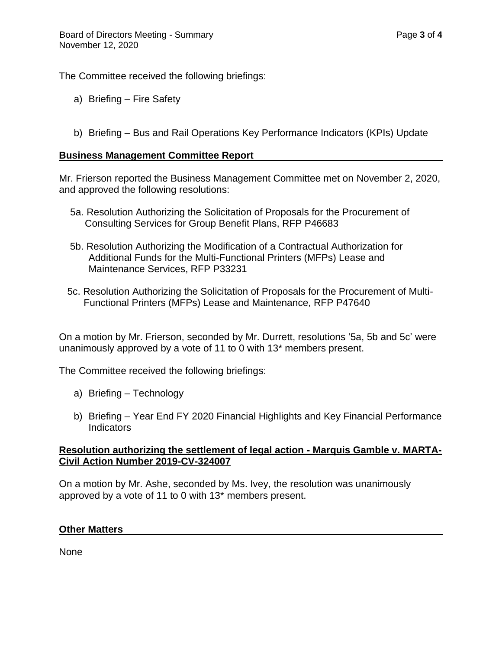The Committee received the following briefings:

- a) Briefing Fire Safety
- b) Briefing Bus and Rail Operations Key Performance Indicators (KPIs) Update

#### **Business Management Committee Report**

Mr. Frierson reported the Business Management Committee met on November 2, 2020, and approved the following resolutions:

- 5a. Resolution Authorizing the Solicitation of Proposals for the Procurement of Consulting Services for Group Benefit Plans, RFP P46683
- 5b. Resolution Authorizing the Modification of a Contractual Authorization for Additional Funds for the Multi-Functional Printers (MFPs) Lease and Maintenance Services, RFP P33231
- 5c. Resolution Authorizing the Solicitation of Proposals for the Procurement of Multi- Functional Printers (MFPs) Lease and Maintenance, RFP P47640

On a motion by Mr. Frierson, seconded by Mr. Durrett, resolutions '5a, 5b and 5c' were unanimously approved by a vote of 11 to 0 with 13\* members present.

The Committee received the following briefings:

- a) Briefing Technology
- b) Briefing Year End FY 2020 Financial Highlights and Key Financial Performance Indicators

#### **Resolution authorizing the settlement of legal action - Marquis Gamble v. MARTA-Civil Action Number 2019-CV-324007**

On a motion by Mr. Ashe, seconded by Ms. Ivey, the resolution was unanimously approved by a vote of 11 to 0 with 13\* members present.

#### **Other Matters**

None